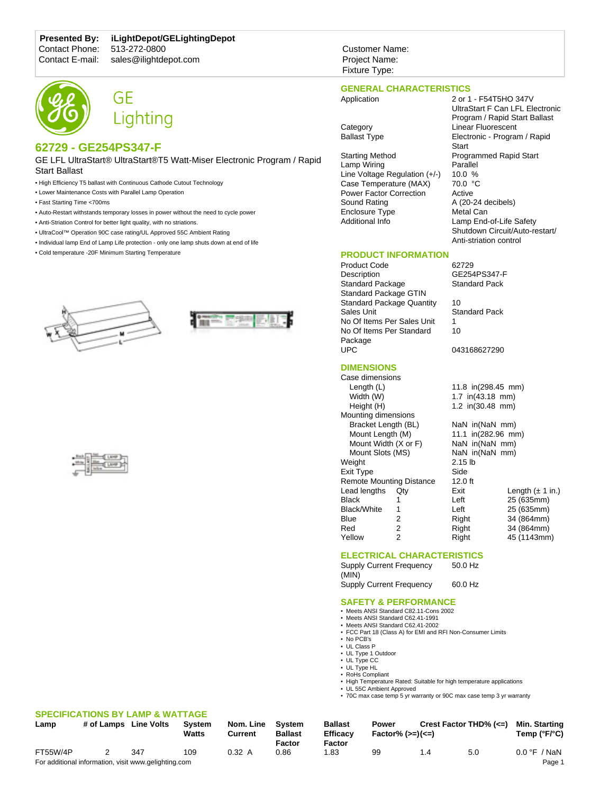## **Presented By: iLightDepot/GELightingDepot**

Contact Phone: 513-272-0800<br>Contact E-mail: sales@ilightde

# sales@ilightdepot.com





## **62729 - GE254PS347-F**

GE LFL UltraStart® UltraStart®T5 Watt-Miser Electronic Program / Rapid Start Ballast

- High Efficiency T5 ballast with Continuous Cathode Cutout Technology
- Lower Maintenance Costs with Parallel Lamp Operation
- Fast Starting Time <700ms
- Auto-Restart withstands temporary losses in power without the need to cycle power
- Anti-Striation Control for better light quality, with no striations.
- UltraCool™ Operation 90C case rating/UL Approved 55C Ambient Rating
- Individual lamp End of Lamp Life protection only one lamp shuts down at end of life
- Cold temperature -20F Minimum Starting Temperature







#### **SPECIFICATIONS BY LAMP & WATTAGE Lamp # of Lamps Line Volts System**

| -----    | $\overline{r}$ of Earlips Enter Force               |     | "''"<br>Watts |  |
|----------|-----------------------------------------------------|-----|---------------|--|
| FT55W/4P | 2                                                   | 347 | 109           |  |
|          | For additional information visit www.gelighting.com |     |               |  |

Customer Name: Project Name: Fixture Type:

## **GENERAL CHARACTERISTICS**

Application 2 or 1 - F54T5HO 347V

Starting Method Programmed Rapid Start<br>
Lamp Wiring Parallel Lamp Wiring Line Voltage Regulation (+/-) 10.0 %<br>Case Temperature (MAX) 70.0 °C Case Temperature (MAX) Power Factor Correction Active<br>Sound Rating A (20-2 Enclosure Type Additional Info Lamp End-of-Life Safety

## **PRODUCT INFORMATION**

Product Code 62729 Description GE254PS347-F<br>Standard Package Standard Pack Standard Package Standard Package GTIN Standard Package Quantity 10 Sales Unit **Standard Pack** No Of Items Per Sales Unit 1 No Of Items Per Standard Package UPC 043168627290

## **DIMENSIONS**

| Case dimensions                 |     |                    |                              |  |  |  |  |
|---------------------------------|-----|--------------------|------------------------------|--|--|--|--|
| Length $(L)$                    |     | 11.8 in(298.45 mm) |                              |  |  |  |  |
| Width (W)                       |     | 1.7 in(43.18 mm)   |                              |  |  |  |  |
| Height (H)                      |     | 1.2 in(30.48 mm)   |                              |  |  |  |  |
| Mounting dimensions             |     |                    |                              |  |  |  |  |
| Bracket Length (BL)             |     | NaN in(NaN mm)     |                              |  |  |  |  |
| Mount Length (M)                |     | 11.1 in(282.96 mm) |                              |  |  |  |  |
| Mount Width (X or F)            |     | NaN in(NaN mm)     |                              |  |  |  |  |
| Mount Slots (MS)                |     | NaN in(NaN mm)     |                              |  |  |  |  |
| Weight                          |     | $2.15$ lb          |                              |  |  |  |  |
| Exit Type                       |     | Side               |                              |  |  |  |  |
| <b>Remote Mounting Distance</b> |     | $12.0$ ft          |                              |  |  |  |  |
| Lead lengths                    | Qtv | Exit               | Length $(\pm 1 \text{ in.})$ |  |  |  |  |
| Black                           | 1   | Left               | 25 (635mm)                   |  |  |  |  |
| Black/White                     | 1   | Left               | 25 (635mm)                   |  |  |  |  |
| Blue                            | 2   | Right              | 34 (864mm)                   |  |  |  |  |
| Red                             | 2   | Right              | 34 (864mm)                   |  |  |  |  |
| Yellow                          | 2   | Right              | 45 (1143mm)                  |  |  |  |  |
|                                 |     |                    |                              |  |  |  |  |

10

## **ELECTRICAL CHARACTERISTICS**

Supply Current Frequency (MIN) 50.0 Hz Supply Current Frequency 60.0 Hz

### **SAFETY & PERFORMANCE**

- Meets ANSI Standard C82.11-Cons 2002
- Meets ANSI Standard C62.41-1991 • Meets ANSI Standard C62.41-2002
- FCC Part 18 (Class A) for EMI and RFI Non-Consumer Limits
- No PCB's
- UL Class P
- UL Type 1 Outdoor
- UL Type CC • UL Type HL
- RoHs Compliant
- High Temperature Rated: Suitable for high temperature applications
- UL 55C Ambient Approved
- 70C max case temp 5 yr warranty or 90C max case temp 3 yr warranty

| Lamp     | # of Lamps | <b>Line Volts</b>                                    | <b>System</b><br><b>Watts</b> | Nom. Line<br>Current | Svstem<br><b>Ballast</b><br>Factor | <b>Ballast</b><br><b>Efficacy</b><br>Factor | Power<br>$Factor\%$ ( $>=$ )( $<=$ ) | Crest Factor THD% $(\leq)$ |     | Min. Starting<br>Temp ( $\degree$ F/ $\degree$ C) |
|----------|------------|------------------------------------------------------|-------------------------------|----------------------|------------------------------------|---------------------------------------------|--------------------------------------|----------------------------|-----|---------------------------------------------------|
| FT55W/4P |            | 347                                                  | 109                           | 0.32 A               | 0.86                               | 1.83                                        | 99                                   | 4. ا                       | 5.0 | $0.0 \, \degree$ F / NaN                          |
|          |            | For additional information, visit www.gelighting.com |                               |                      |                                    |                                             |                                      |                            |     | Page 1                                            |

UltraStart F Can LFL Electronic Program / Rapid Start Ballast Category Linear Fluorescent Ballast Type **Electronic - Program / Rapid Start** A (20-24 decibels)<br>Metal Can Shutdown Circuit/Auto-restart/

Anti-striation control